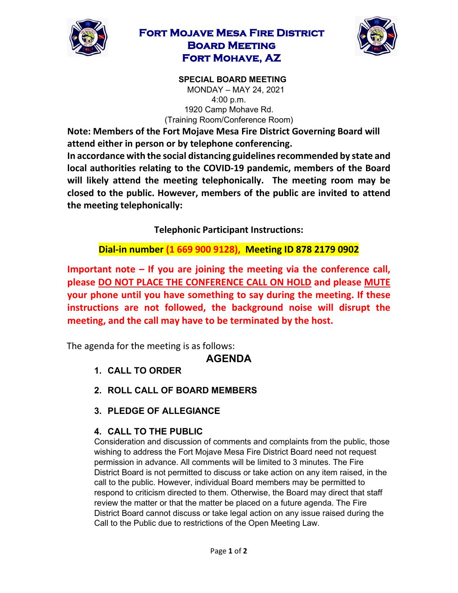

## **Fort Mojave Mesa Fire District Board Meeting Fort Mohave, AZ**



**SPECIAL BOARD MEETING**  MONDAY – MAY 24, 2021 4:00 p.m. 1920 Camp Mohave Rd. (Training Room/Conference Room)

**Note: Members of the Fort Mojave Mesa Fire District Governing Board will attend either in person or by telephone conferencing.** 

**In accordance with the social distancing guidelines recommended by state and local authorities relating to the COVID-19 pandemic, members of the Board will likely attend the meeting telephonically. The meeting room may be closed to the public. However, members of the public are invited to attend the meeting telephonically:** 

**Telephonic Participant Instructions:**

**Dial-in number (1 669 900 9128), Meeting ID 878 2179 0902** 

**Important note – If you are joining the meeting via the conference call, please DO NOT PLACE THE CONFERENCE CALL ON HOLD and please MUTE your phone until you have something to say during the meeting. If these instructions are not followed, the background noise will disrupt the meeting, and the call may have to be terminated by the host.**

The agenda for the meeting is as follows:

# **AGENDA**

- **1. CALL TO ORDER**
- **2. ROLL CALL OF BOARD MEMBERS**
- **3. PLEDGE OF ALLEGIANCE**

### **4. CALL TO THE PUBLIC**

Consideration and discussion of comments and complaints from the public, those wishing to address the Fort Mojave Mesa Fire District Board need not request permission in advance. All comments will be limited to 3 minutes. The Fire District Board is not permitted to discuss or take action on any item raised, in the call to the public. However, individual Board members may be permitted to respond to criticism directed to them. Otherwise, the Board may direct that staff review the matter or that the matter be placed on a future agenda. The Fire District Board cannot discuss or take legal action on any issue raised during the Call to the Public due to restrictions of the Open Meeting Law.